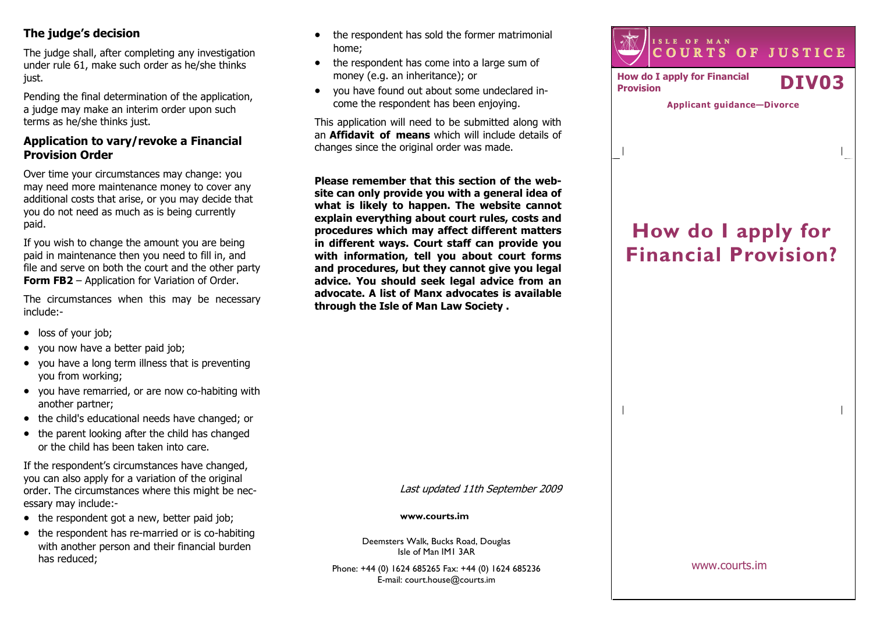# The judge's decision

The judge shall, after completing any investigationunder rule 61, make such order as he/she thinks just.

Pending the final determination of the application,a judge may make an interim order upon such terms as he/she thinks just.

# Application to vary/revoke a Financial Provision Order

Over time your circumstances may change: you may need more maintenance money to cover any additional costs that arise, or you may decide thatyou do not need as much as is being currently paid.

If you wish to change the amount you are being paid in maintenance then you need to fill in, and file and serve on both the court and the other party Form FB2 – Application for Variation of Order.

The circumstances when this may be necessary include:-

- loss of your job;
- you now have a better paid job;
- you have a long term illness that is preventing you from working;
- you have remarried, or are now co-habiting with another partner;
- the child's educational needs have changed; or
- the parent looking after the child has changed or the child has been taken into care.

If the respondent's circumstances have changed, you can also apply for a variation of the original order. The circumstances where this might be necessary may include:-

- the respondent got a new, better paid job;
- the respondent has re-married or is co-habiting with another person and their financial burden has reduced;
- the respondent has sold the former matrimonial home;
- the respondent has come into a large sum of money (e.g. an inheritance); or
- you have found out about some undeclared income the respondent has been enjoying.

This application will need to be submitted along with an **Affidavit of means** which will include details of changes since the original order was made.

Please remember that this section of the website can only provide you with a general idea of what is likely to happen. The website cannot explain everything about court rules, costs and procedures which may affect different matters in different ways. Court staff can provide you with information, tell you about court forms and procedures, but they cannot give you legal advice. You should seek legal advice from an advocate. A list of Manx advocates is available through the Isle of Man Law Society .



Applicant guidance—Divorce

# How do I apply for Financial Provision?

Last updated 11th September 2009

#### www.courts.im

Deemsters Walk, Bucks Road, Douglas Isle of Man IM1 3AR

Phone: +44 (0) 1624 685265 Fax: +44 (0) 1624 685236E-mail: court.house@courts.im

www.courts.im

 $\overline{\phantom{a}}$